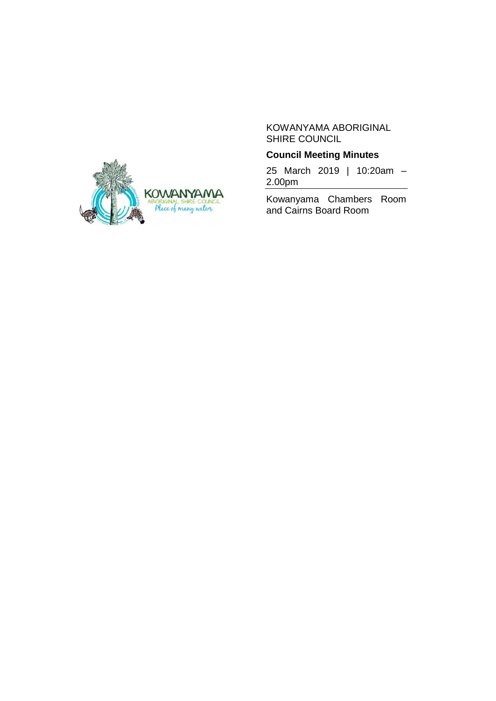

# **Council Meeting Minutes**

25 March 2019 | 10:20am – 2.00pm

Kowanyama Chambers Room and Cairns Board Room

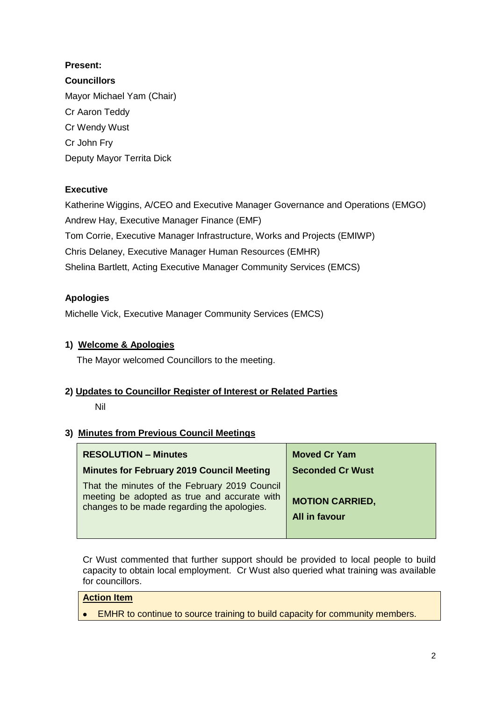# **Present:**

**Councillors** Mayor Michael Yam (Chair) Cr Aaron Teddy Cr Wendy Wust Cr John Fry Deputy Mayor Territa Dick

# **Executive**

Katherine Wiggins, A/CEO and Executive Manager Governance and Operations (EMGO) Andrew Hay, Executive Manager Finance (EMF) Tom Corrie, Executive Manager Infrastructure, Works and Projects (EMIWP) Chris Delaney, Executive Manager Human Resources (EMHR) Shelina Bartlett, Acting Executive Manager Community Services (EMCS)

# **Apologies**

Michelle Vick, Executive Manager Community Services (EMCS)

# **1) Welcome & Apologies**

The Mayor welcomed Councillors to the meeting.

## **2) Updates to Councillor Register of Interest or Related Parties**

## Nil

## **3) Minutes from Previous Council Meetings**

| <b>RESOLUTION - Minutes</b>                                                                                                                  | <b>Moved Cr Yam</b>                     |
|----------------------------------------------------------------------------------------------------------------------------------------------|-----------------------------------------|
| <b>Minutes for February 2019 Council Meeting</b>                                                                                             | <b>Seconded Cr Wust</b>                 |
| That the minutes of the February 2019 Council<br>meeting be adopted as true and accurate with<br>changes to be made regarding the apologies. | <b>MOTION CARRIED,</b><br>All in favour |

Cr Wust commented that further support should be provided to local people to build capacity to obtain local employment. Cr Wust also queried what training was available for councillors.

# **Action Item**

• EMHR to continue to source training to build capacity for community members.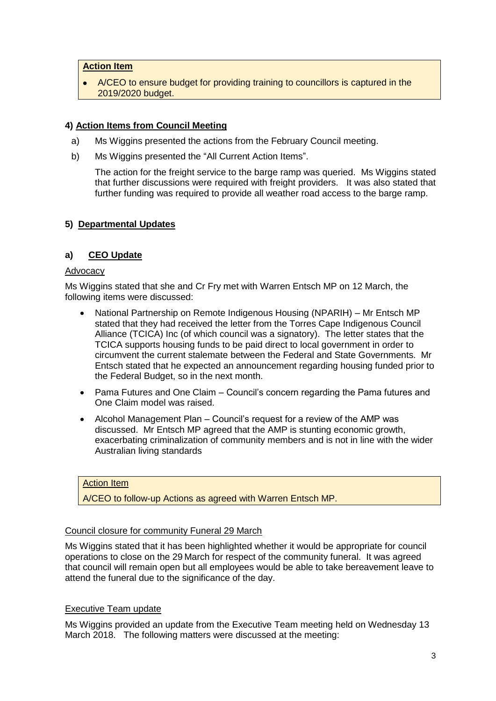### **Action Item**

 A/CEO to ensure budget for providing training to councillors is captured in the 2019/2020 budget.

## **4) Action Items from Council Meeting**

- a) Ms Wiggins presented the actions from the February Council meeting.
- b) Ms Wiggins presented the "All Current Action Items".

The action for the freight service to the barge ramp was queried. Ms Wiggins stated that further discussions were required with freight providers. It was also stated that further funding was required to provide all weather road access to the barge ramp.

## **5) Departmental Updates**

## **a) CEO Update**

#### Advocacy

Ms Wiggins stated that she and Cr Fry met with Warren Entsch MP on 12 March, the following items were discussed:

- National Partnership on Remote Indigenous Housing (NPARIH) Mr Entsch MP stated that they had received the letter from the Torres Cape Indigenous Council Alliance (TCICA) Inc (of which council was a signatory). The letter states that the TCICA supports housing funds to be paid direct to local government in order to circumvent the current stalemate between the Federal and State Governments. Mr Entsch stated that he expected an announcement regarding housing funded prior to the Federal Budget, so in the next month.
- Pama Futures and One Claim Council's concern regarding the Pama futures and One Claim model was raised.
- Alcohol Management Plan Council's request for a review of the AMP was discussed. Mr Entsch MP agreed that the AMP is stunting economic growth, exacerbating criminalization of community members and is not in line with the wider Australian living standards

## Action Item

A/CEO to follow-up Actions as agreed with Warren Entsch MP.

### Council closure for community Funeral 29 March

Ms Wiggins stated that it has been highlighted whether it would be appropriate for council operations to close on the 29 March for respect of the community funeral. It was agreed that council will remain open but all employees would be able to take bereavement leave to attend the funeral due to the significance of the day.

### Executive Team update

Ms Wiggins provided an update from the Executive Team meeting held on Wednesday 13 March 2018. The following matters were discussed at the meeting: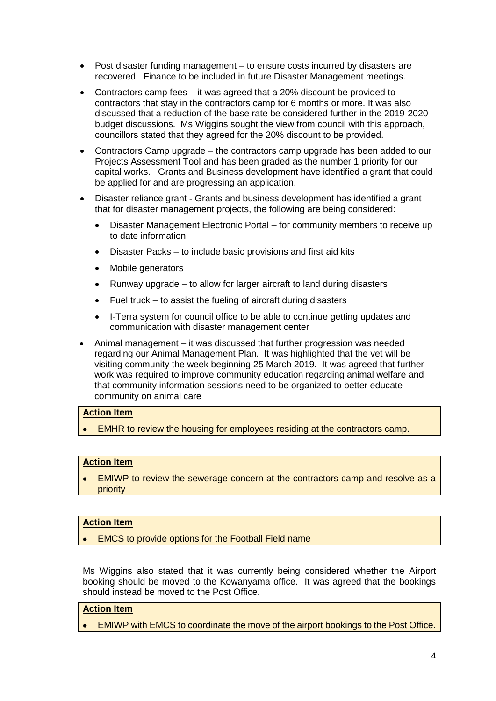- Post disaster funding management to ensure costs incurred by disasters are recovered. Finance to be included in future Disaster Management meetings.
- Contractors camp fees it was agreed that a 20% discount be provided to contractors that stay in the contractors camp for 6 months or more. It was also discussed that a reduction of the base rate be considered further in the 2019-2020 budget discussions. Ms Wiggins sought the view from council with this approach, councillors stated that they agreed for the 20% discount to be provided.
- Contractors Camp upgrade the contractors camp upgrade has been added to our Projects Assessment Tool and has been graded as the number 1 priority for our capital works. Grants and Business development have identified a grant that could be applied for and are progressing an application.
- Disaster reliance grant Grants and business development has identified a grant that for disaster management projects, the following are being considered:
	- Disaster Management Electronic Portal for community members to receive up to date information
	- Disaster Packs to include basic provisions and first aid kits
	- Mobile generators
	- Runway upgrade to allow for larger aircraft to land during disasters
	- Fuel truck to assist the fueling of aircraft during disasters
	- I-Terra system for council office to be able to continue getting updates and communication with disaster management center
- Animal management it was discussed that further progression was needed regarding our Animal Management Plan. It was highlighted that the vet will be visiting community the week beginning 25 March 2019. It was agreed that further work was required to improve community education regarding animal welfare and that community information sessions need to be organized to better educate community on animal care

### **Action Item**

**EMHR to review the housing for employees residing at the contractors camp.** 

#### **Action Item**

 EMIWP to review the sewerage concern at the contractors camp and resolve as a priority

### **Action Item**

EMCS to provide options for the Football Field name

Ms Wiggins also stated that it was currently being considered whether the Airport booking should be moved to the Kowanyama office. It was agreed that the bookings should instead be moved to the Post Office.

### **Action Item**

EMIWP with EMCS to coordinate the move of the airport bookings to the Post Office.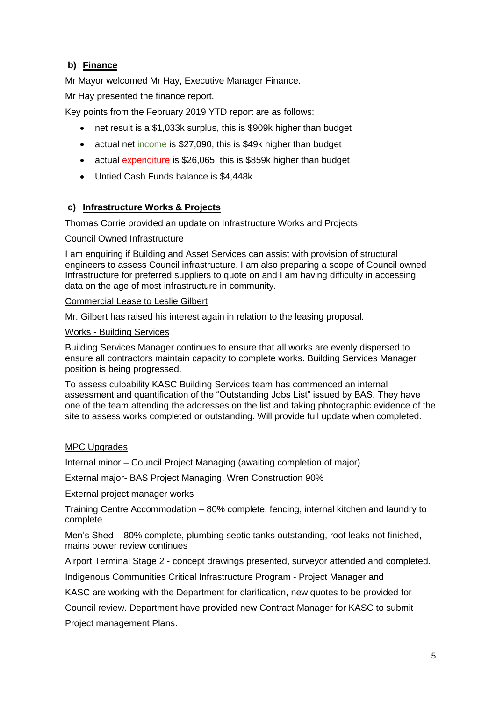# **b) Finance**

Mr Mayor welcomed Mr Hay, Executive Manager Finance. Mr Hay presented the finance report.

Key points from the February 2019 YTD report are as follows:

- net result is a \$1,033k surplus, this is \$909k higher than budget
- actual net income is \$27,090, this is \$49k higher than budget
- actual expenditure is \$26,065, this is \$859k higher than budget
- Untied Cash Funds balance is \$4,448k

## **c) Infrastructure Works & Projects**

Thomas Corrie provided an update on Infrastructure Works and Projects

#### Council Owned Infrastructure

I am enquiring if Building and Asset Services can assist with provision of structural engineers to assess Council infrastructure, I am also preparing a scope of Council owned Infrastructure for preferred suppliers to quote on and I am having difficulty in accessing data on the age of most infrastructure in community.

#### Commercial Lease to Leslie Gilbert

Mr. Gilbert has raised his interest again in relation to the leasing proposal.

#### Works - Building Services

Building Services Manager continues to ensure that all works are evenly dispersed to ensure all contractors maintain capacity to complete works. Building Services Manager position is being progressed.

To assess culpability KASC Building Services team has commenced an internal assessment and quantification of the "Outstanding Jobs List" issued by BAS. They have one of the team attending the addresses on the list and taking photographic evidence of the site to assess works completed or outstanding. Will provide full update when completed.

### MPC Upgrades

Internal minor – Council Project Managing (awaiting completion of major)

External major- BAS Project Managing, Wren Construction 90%

External project manager works

Training Centre Accommodation – 80% complete, fencing, internal kitchen and laundry to complete

Men's Shed – 80% complete, plumbing septic tanks outstanding, roof leaks not finished, mains power review continues

Airport Terminal Stage 2 - concept drawings presented, surveyor attended and completed.

Indigenous Communities Critical Infrastructure Program - Project Manager and

KASC are working with the Department for clarification, new quotes to be provided for

Council review. Department have provided new Contract Manager for KASC to submit

Project management Plans.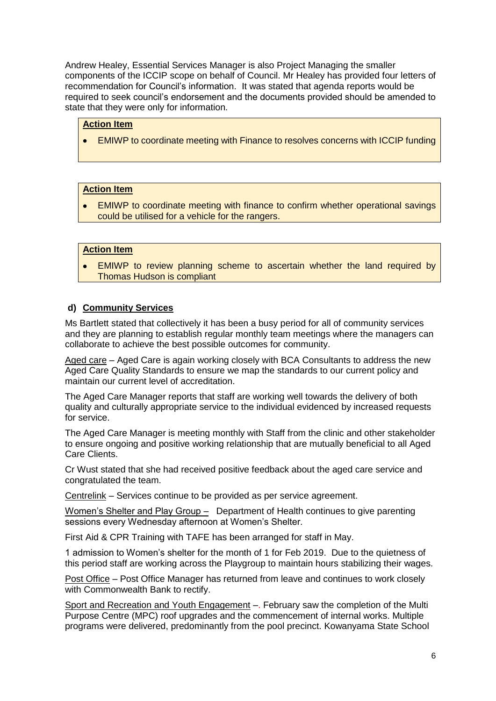Andrew Healey, Essential Services Manager is also Project Managing the smaller components of the ICCIP scope on behalf of Council. Mr Healey has provided four letters of recommendation for Council's information. It was stated that agenda reports would be required to seek council's endorsement and the documents provided should be amended to state that they were only for information.

## **Action Item**

EMIWP to coordinate meeting with Finance to resolves concerns with ICCIP funding

### **Action Item**

 EMIWP to coordinate meeting with finance to confirm whether operational savings could be utilised for a vehicle for the rangers.

### **Action Item**

 EMIWP to review planning scheme to ascertain whether the land required by Thomas Hudson is compliant

#### **d) Community Services**

Ms Bartlett stated that collectively it has been a busy period for all of community services and they are planning to establish regular monthly team meetings where the managers can collaborate to achieve the best possible outcomes for community.

Aged care – Aged Care is again working closely with BCA Consultants to address the new Aged Care Quality Standards to ensure we map the standards to our current policy and maintain our current level of accreditation.

The Aged Care Manager reports that staff are working well towards the delivery of both quality and culturally appropriate service to the individual evidenced by increased requests for service.

The Aged Care Manager is meeting monthly with Staff from the clinic and other stakeholder to ensure ongoing and positive working relationship that are mutually beneficial to all Aged Care Clients.

Cr Wust stated that she had received positive feedback about the aged care service and congratulated the team.

Centrelink – Services continue to be provided as per service agreement.

Women's Shelter and Play Group – Department of Health continues to give parenting sessions every Wednesday afternoon at Women's Shelter.

First Aid & CPR Training with TAFE has been arranged for staff in May.

1 admission to Women's shelter for the month of 1 for Feb 2019. Due to the quietness of this period staff are working across the Playgroup to maintain hours stabilizing their wages.

Post Office – Post Office Manager has returned from leave and continues to work closely with Commonwealth Bank to rectify.

Sport and Recreation and Youth Engagement –. February saw the completion of the Multi Purpose Centre (MPC) roof upgrades and the commencement of internal works. Multiple programs were delivered, predominantly from the pool precinct. Kowanyama State School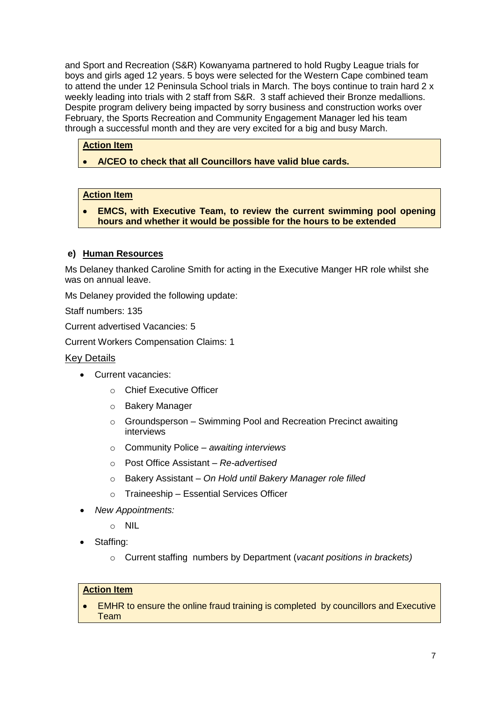and Sport and Recreation (S&R) Kowanyama partnered to hold Rugby League trials for boys and girls aged 12 years. 5 boys were selected for the Western Cape combined team to attend the under 12 Peninsula School trials in March. The boys continue to train hard 2 x weekly leading into trials with 2 staff from S&R. 3 staff achieved their Bronze medallions. Despite program delivery being impacted by sorry business and construction works over February, the Sports Recreation and Community Engagement Manager led his team through a successful month and they are very excited for a big and busy March.

## **Action Item**

## **A/CEO to check that all Councillors have valid blue cards.**

## **Action Item**

 **EMCS, with Executive Team, to review the current swimming pool opening hours and whether it would be possible for the hours to be extended**

## **e) Human Resources**

Ms Delaney thanked Caroline Smith for acting in the Executive Manger HR role whilst she was on annual leave.

Ms Delaney provided the following update:

Staff numbers: 135

Current advertised Vacancies: 5

Current Workers Compensation Claims: 1

### Key Details

- **Current vacancies:** 
	- o Chief Executive Officer
	- o Bakery Manager
	- $\circ$  Groundsperson Swimming Pool and Recreation Precinct awaiting interviews
	- o Community Police *awaiting interviews*
	- o Post Office Assistant *– Re-advertised*
	- o Bakery Assistant *– On Hold until Bakery Manager role filled*
	- o Traineeship Essential Services Officer
- *New Appointments:*
	- $\circ$  NII
- Staffing:
	- o Current staffing numbers by Department (*vacant positions in brackets)*

### **Action Item**

 EMHR to ensure the online fraud training is completed by councillors and Executive **Team**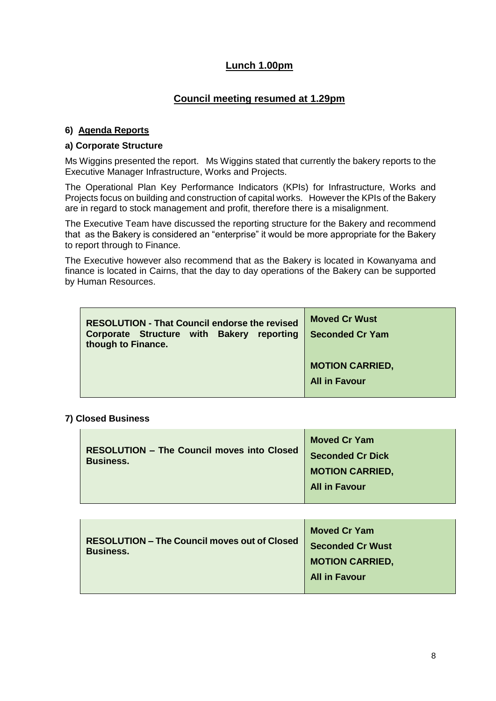# **Lunch 1.00pm**

# **Council meeting resumed at 1.29pm**

## **6) Agenda Reports**

### **a) Corporate Structure**

Ms Wiggins presented the report. Ms Wiggins stated that currently the bakery reports to the Executive Manager Infrastructure, Works and Projects.

The Operational Plan Key Performance Indicators (KPIs) for Infrastructure, Works and Projects focus on building and construction of capital works. However the KPIs of the Bakery are in regard to stock management and profit, therefore there is a misalignment.

The Executive Team have discussed the reporting structure for the Bakery and recommend that as the Bakery is considered an "enterprise" it would be more appropriate for the Bakery to report through to Finance.

The Executive however also recommend that as the Bakery is located in Kowanyama and finance is located in Cairns, that the day to day operations of the Bakery can be supported by Human Resources.

| <b>RESOLUTION - That Council endorse the revised</b><br>Corporate Structure with Bakery reporting<br>though to Finance. | <b>Moved Cr Wust</b><br><b>Seconded Cr Yam</b> |
|-------------------------------------------------------------------------------------------------------------------------|------------------------------------------------|
|                                                                                                                         | <b>MOTION CARRIED,</b>                         |
|                                                                                                                         | <b>All in Favour</b>                           |

### **7) Closed Business**

|                                                                       | <b>Moved Cr Yam</b>     |
|-----------------------------------------------------------------------|-------------------------|
| <b>RESOLUTION - The Council moves into Closed</b><br><b>Business.</b> | <b>Seconded Cr Dick</b> |
|                                                                       | <b>MOTION CARRIED,</b>  |
|                                                                       | <b>All in Favour</b>    |
|                                                                       |                         |

| <b>RESOLUTION – The Council moves out of Closed</b><br><b>Business.</b> | <b>Moved Cr Yam</b><br><b>Seconded Cr Wust</b> |
|-------------------------------------------------------------------------|------------------------------------------------|
|                                                                         | <b>MOTION CARRIED,</b>                         |
|                                                                         | <b>All in Favour</b>                           |
|                                                                         |                                                |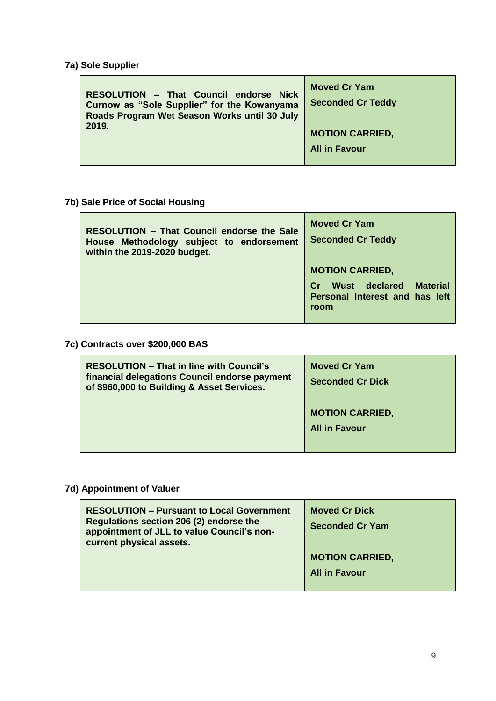# **7a) Sole Supplier**

 $\blacksquare$ 

| RESOLUTION - That Council endorse Nick<br>Curnow as "Sole Supplier" for the Kowanyama<br>Roads Program Wet Season Works until 30 July | <b>Moved Cr Yam</b><br><b>Seconded Cr Teddy</b> |
|---------------------------------------------------------------------------------------------------------------------------------------|-------------------------------------------------|
| 2019.                                                                                                                                 | <b>MOTION CARRIED,</b>                          |
|                                                                                                                                       | <b>All in Favour</b>                            |
|                                                                                                                                       |                                                 |

**7b) Sale Price of Social Housing**

| <b>RESOLUTION - That Council endorse the Sale</b><br>House Methodology subject to endorsement<br>within the 2019-2020 budget. | <b>Moved Cr Yam</b><br><b>Seconded Cr Teddy</b>                                                            |
|-------------------------------------------------------------------------------------------------------------------------------|------------------------------------------------------------------------------------------------------------|
|                                                                                                                               | <b>MOTION CARRIED,</b><br><b>Material</b><br>Wust declared<br>Cr<br>Personal Interest and has left<br>room |

# **7c) Contracts over \$200,000 BAS**

| <b>RESOLUTION - That in line with Council's</b><br>financial delegations Council endorse payment<br>of \$960,000 to Building & Asset Services. | <b>Moved Cr Yam</b><br><b>Seconded Cr Dick</b> |
|------------------------------------------------------------------------------------------------------------------------------------------------|------------------------------------------------|
|                                                                                                                                                | <b>MOTION CARRIED,</b><br><b>All in Favour</b> |

# **7d) Appointment of Valuer**

| <b>Moved Cr Dick</b><br><b>Seconded Cr Yam</b> |
|------------------------------------------------|
| <b>MOTION CARRIED,</b>                         |
| <b>All in Favour</b>                           |
|                                                |